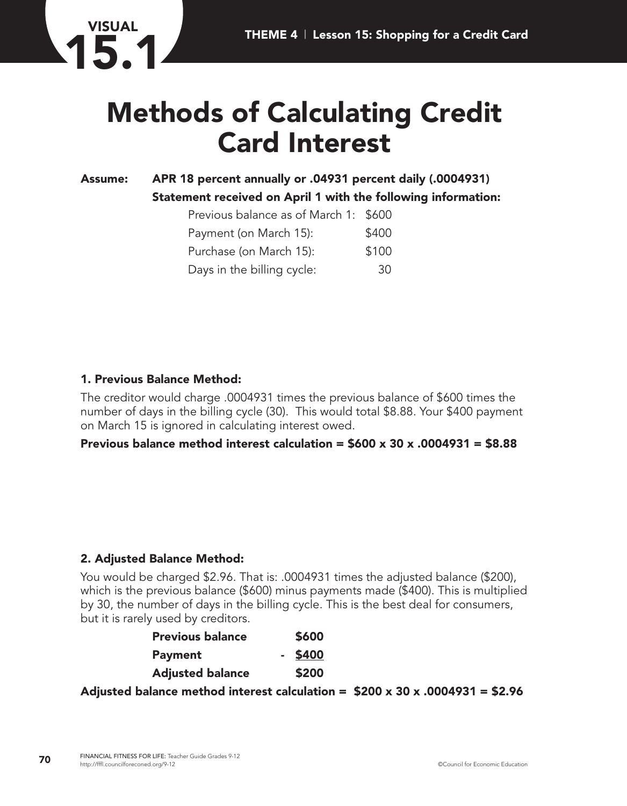

# **Methods of Calculating Credit Card Interest**

# **Assume: APR 18 percent annually or .04931 percent daily (.0004931) Statement received on April 1 with the following information:**

| Previous balance as of March 1: \$600 |       |
|---------------------------------------|-------|
| Payment (on March 15):                | \$400 |
| Purchase (on March 15):               | \$100 |
| Days in the billing cycle:            | 30    |

## **1. Previous Balance Method:**

The creditor would charge .0004931 times the previous balance of \$600 times the number of days in the billing cycle (30). This would total \$8.88. Your \$400 payment on March 15 is ignored in calculating interest owed.

#### **Previous balance method interest calculation = \$600 x 30 x .0004931 = \$8.88**

#### **2. Adjusted Balance Method:**

You would be charged \$2.96. That is: .0004931 times the adjusted balance (\$200), which is the previous balance (\$600) minus payments made (\$400). This is multiplied by 30, the number of days in the billing cycle. This is the best deal for consumers, but it is rarely used by creditors.

| <b>Previous balance</b> | \$600     |
|-------------------------|-----------|
| <b>Payment</b>          | $-$ \$400 |
| <b>Adjusted balance</b> | \$200     |

**Adjusted balance method interest calculation = \$200 x 30 x .0004931 = \$2.96**